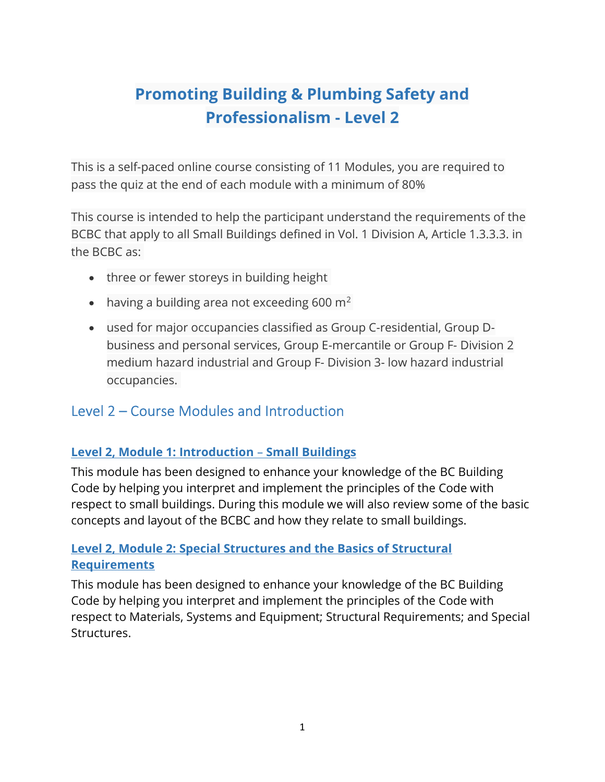# Promoting Building & Plumbing Safety and Professionalism - Level 2

This is a self-paced online course consisting of 11 Modules, you are required to pass the quiz at the end of each module with a minimum of 80%

This course is intended to help the participant understand the requirements of the BCBC that apply to all Small Buildings defined in Vol. 1 Division A, Article 1.3.3.3. in the BCBC as:

- three or fewer storeys in building height
- having a building area not exceeding 600  $m^2$
- used for major occupancies classified as Group C-residential, Group Dbusiness and personal services, Group E-mercantile or Group F- Division 2 medium hazard industrial and Group F- Division 3- low hazard industrial occupancies.

## Level 2 – Course Modules and Introduction

### Level 2, Module 1: Introduction – Small Buildings

This module has been designed to enhance your knowledge of the BC Building Code by helping you interpret and implement the principles of the Code with respect to small buildings. During this module we will also review some of the basic concepts and layout of the BCBC and how they relate to small buildings.

#### Level 2, Module 2: Special Structures and the Basics of Structural **Requirements**

This module has been designed to enhance your knowledge of the BC Building Code by helping you interpret and implement the principles of the Code with respect to Materials, Systems and Equipment; Structural Requirements; and Special Structures.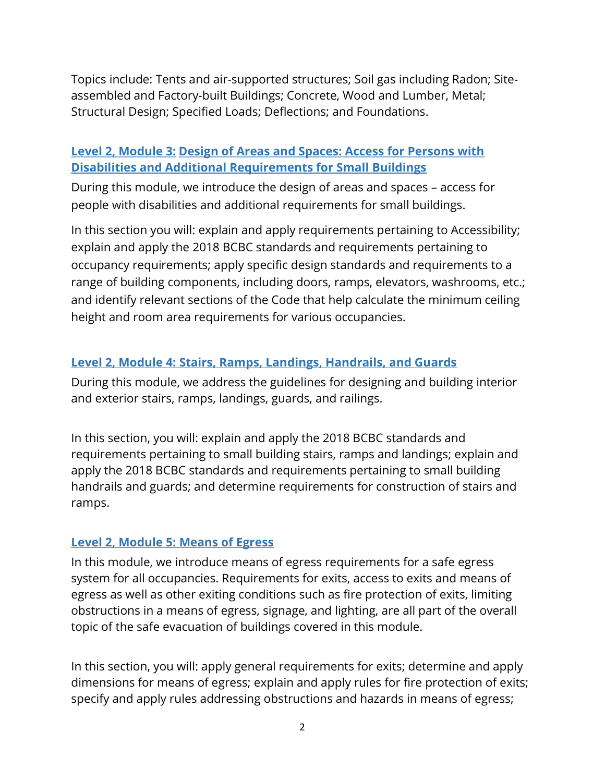Topics include: Tents and air-supported structures; Soil gas including Radon; Siteassembled and Factory-built Buildings; Concrete, Wood and Lumber, Metal; Structural Design; Specified Loads; Deflections; and Foundations.

#### Level 2, Module 3: Design of Areas and Spaces: Access for Persons with Disabilities and Additional Requirements for Small Buildings

During this module, we introduce the design of areas and spaces – access for people with disabilities and additional requirements for small buildings.

In this section you will: explain and apply requirements pertaining to Accessibility; explain and apply the 2018 BCBC standards and requirements pertaining to occupancy requirements; apply specific design standards and requirements to a range of building components, including doors, ramps, elevators, washrooms, etc.; and identify relevant sections of the Code that help calculate the minimum ceiling height and room area requirements for various occupancies.

#### Level 2, Module 4: Stairs, Ramps, Landings, Handrails, and Guards

During this module, we address the guidelines for designing and building interior and exterior stairs, ramps, landings, guards, and railings.

In this section, you will: explain and apply the 2018 BCBC standards and requirements pertaining to small building stairs, ramps and landings; explain and apply the 2018 BCBC standards and requirements pertaining to small building handrails and guards; and determine requirements for construction of stairs and ramps.

#### Level 2, Module 5: Means of Egress

In this module, we introduce means of egress requirements for a safe egress system for all occupancies. Requirements for exits, access to exits and means of egress as well as other exiting conditions such as fire protection of exits, limiting obstructions in a means of egress, signage, and lighting, are all part of the overall topic of the safe evacuation of buildings covered in this module.

In this section, you will: apply general requirements for exits; determine and apply dimensions for means of egress; explain and apply rules for fire protection of exits; specify and apply rules addressing obstructions and hazards in means of egress;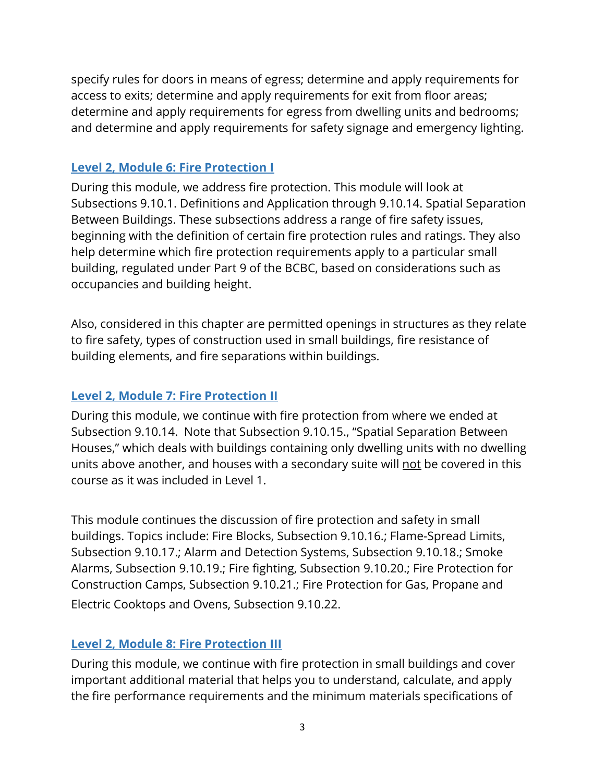specify rules for doors in means of egress; determine and apply requirements for access to exits; determine and apply requirements for exit from floor areas; determine and apply requirements for egress from dwelling units and bedrooms; and determine and apply requirements for safety signage and emergency lighting.

#### Level 2, Module 6: Fire Protection I

During this module, we address fire protection. This module will look at Subsections 9.10.1. Definitions and Application through 9.10.14. Spatial Separation Between Buildings. These subsections address a range of fire safety issues, beginning with the definition of certain fire protection rules and ratings. They also help determine which fire protection requirements apply to a particular small building, regulated under Part 9 of the BCBC, based on considerations such as occupancies and building height.

Also, considered in this chapter are permitted openings in structures as they relate to fire safety, types of construction used in small buildings, fire resistance of building elements, and fire separations within buildings.

#### Level 2, Module 7: Fire Protection II

During this module, we continue with fire protection from where we ended at Subsection 9.10.14. Note that Subsection 9.10.15., "Spatial Separation Between Houses," which deals with buildings containing only dwelling units with no dwelling units above another, and houses with a secondary suite will not be covered in this course as it was included in Level 1.

This module continues the discussion of fire protection and safety in small buildings. Topics include: Fire Blocks, Subsection 9.10.16.; Flame-Spread Limits, Subsection 9.10.17.; Alarm and Detection Systems, Subsection 9.10.18.; Smoke Alarms, Subsection 9.10.19.; Fire fighting, Subsection 9.10.20.; Fire Protection for Construction Camps, Subsection 9.10.21.; Fire Protection for Gas, Propane and Electric Cooktops and Ovens, Subsection 9.10.22.

#### Level 2, Module 8: Fire Protection III

During this module, we continue with fire protection in small buildings and cover important additional material that helps you to understand, calculate, and apply the fire performance requirements and the minimum materials specifications of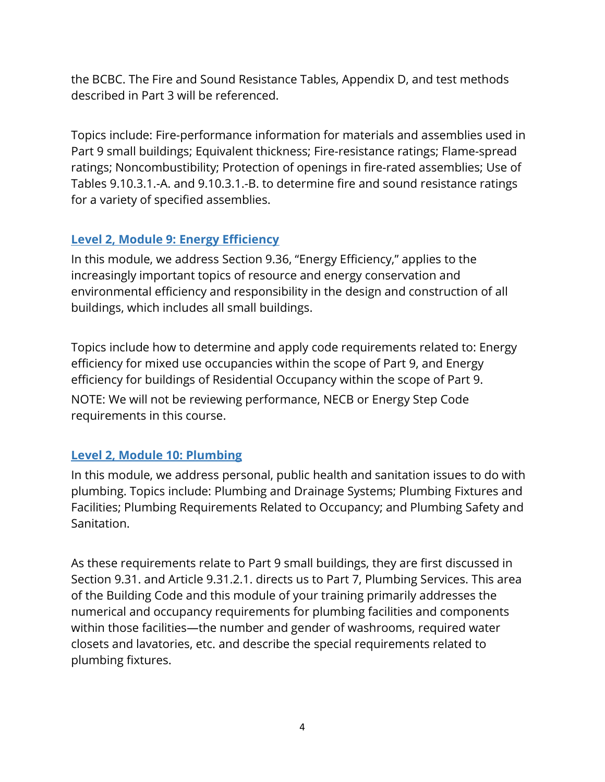the BCBC. The Fire and Sound Resistance Tables, Appendix D, and test methods described in Part 3 will be referenced.

Topics include: Fire-performance information for materials and assemblies used in Part 9 small buildings; Equivalent thickness; Fire-resistance ratings; Flame-spread ratings; Noncombustibility; Protection of openings in fire-rated assemblies; Use of Tables 9.10.3.1.-A. and 9.10.3.1.-B. to determine fire and sound resistance ratings for a variety of specified assemblies.

#### Level 2, Module 9: Energy Efficiency

In this module, we address Section 9.36, "Energy Efficiency," applies to the increasingly important topics of resource and energy conservation and environmental efficiency and responsibility in the design and construction of all buildings, which includes all small buildings.

Topics include how to determine and apply code requirements related to: Energy efficiency for mixed use occupancies within the scope of Part 9, and Energy efficiency for buildings of Residential Occupancy within the scope of Part 9. NOTE: We will not be reviewing performance, NECB or Energy Step Code requirements in this course.

#### Level 2, Module 10: Plumbing

In this module, we address personal, public health and sanitation issues to do with plumbing. Topics include: Plumbing and Drainage Systems; Plumbing Fixtures and Facilities; Plumbing Requirements Related to Occupancy; and Plumbing Safety and Sanitation.

As these requirements relate to Part 9 small buildings, they are first discussed in Section 9.31. and Article 9.31.2.1. directs us to Part 7, Plumbing Services. This area of the Building Code and this module of your training primarily addresses the numerical and occupancy requirements for plumbing facilities and components within those facilities—the number and gender of washrooms, required water closets and lavatories, etc. and describe the special requirements related to plumbing fixtures.